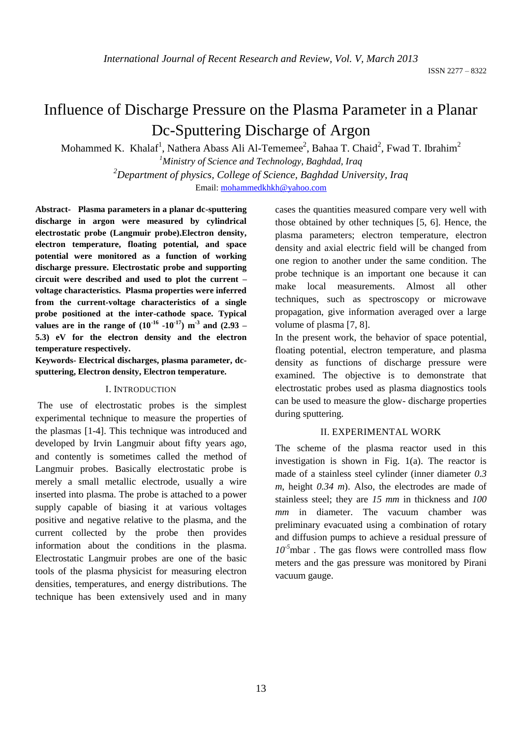# Influence of Discharge Pressure on the Plasma Parameter in a Planar Dc-Sputtering Discharge of Argon

Mohammed K. Khalaf<sup>1</sup>, Nathera Abass Ali Al-Tememee<sup>2</sup>, Bahaa T. Chaid<sup>2</sup>, Fwad T. Ibrahim<sup>2</sup>

*<sup>1</sup>Ministry of Science and Technology, Baghdad, Iraq <sup>2</sup>Department of physics, College of Science, Baghdad University, Iraq* Email: [mohammedkhkh@yahoo.com](mailto:mohammedkhkh@yahoo.com)

**Abstract- Plasma parameters in a planar dc-sputtering discharge in argon were measured by cylindrical electrostatic probe (Langmuir probe).Electron density, electron temperature, floating potential, and space potential were monitored as a function of working discharge pressure. Electrostatic probe and supporting circuit were described and used to plot the current – voltage characteristics. Plasma properties were inferred from the current-voltage characteristics of a single probe positioned at the inter-cathode space. Typical values are in the range of**  $(10^{-16} - 10^{-17})$  $\text{m}^3$  **and**  $(2.93 -$ **5.3) eV for the electron density and the electron temperature respectively.** 

# **Keywords- Electrical discharges, plasma parameter, dcsputtering, Electron density, Electron temperature.**

#### I. INTRODUCTION

The use of electrostatic probes is the simplest experimental technique to measure the properties of the plasmas [1-4]. This technique was introduced and developed by Irvin Langmuir about fifty years ago, and contently is sometimes called the method of Langmuir probes. Basically electrostatic probe is merely a small metallic electrode, usually a wire inserted into plasma. The probe is attached to a power supply capable of biasing it at various voltages positive and negative relative to the plasma, and the current collected by the probe then provides information about the conditions in the plasma. Electrostatic Langmuir probes are one of the basic tools of the plasma physicist for measuring electron densities, temperatures, and energy distributions. The technique has been extensively used and in many

cases the quantities measured compare very well with those obtained by other techniques [5, 6]. Hence, the plasma parameters; electron temperature, electron density and axial electric field will be changed from one region to another under the same condition. The probe technique is an important one because it can make local measurements. Almost all other techniques, such as spectroscopy or microwave propagation, give information averaged over a large volume of plasma [7, 8].

In the present work, the behavior of space potential, floating potential, electron temperature, and plasma density as functions of discharge pressure were examined. The objective is to demonstrate that electrostatic probes used as plasma diagnostics tools can be used to measure the glow- discharge properties during sputtering.

### II. EXPERIMENTAL WORK

The scheme of the plasma reactor used in this investigation is shown in Fig. 1(a). The reactor is made of a stainless steel cylinder (inner diameter *0.3 m*, height *0.34 m*). Also, the electrodes are made of stainless steel; they are *15 mm* in thickness and *100 mm* in diameter. The vacuum chamber was preliminary evacuated using a combination of rotary and diffusion pumps to achieve a residual pressure of  $10^{-5}$ mbar. The gas flows were controlled mass flow meters and the gas pressure was monitored by Pirani vacuum gauge.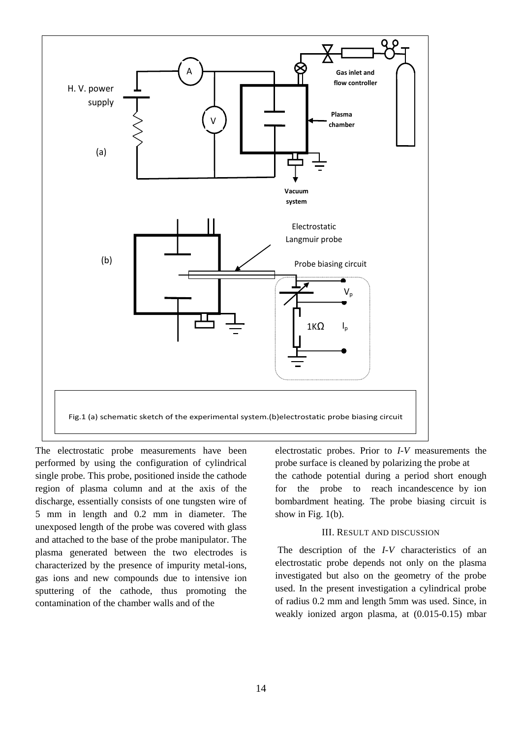

The electrostatic probe measurements have been performed by using the configuration of cylindrical single probe. This probe, positioned inside the cathode region of plasma column and at the axis of the discharge, essentially consists of one tungsten wire of 5 mm in length and 0.2 mm in diameter. The unexposed length of the probe was covered with glass and attached to the base of the probe manipulator. The plasma generated between the two electrodes is characterized by the presence of impurity metal-ions, gas ions and new compounds due to intensive ion sputtering of the cathode, thus promoting the contamination of the chamber walls and of the

electrostatic probes. Prior to *I-V* measurements the probe surface is cleaned by polarizing the probe at the cathode potential during a period short enough for the probe to reach incandescence by ion bombardment heating. The probe biasing circuit is show in Fig. 1(b).

### III. RESULT AND DISCUSSION

The description of the *I-V* characteristics of an electrostatic probe depends not only on the plasma investigated but also on the geometry of the probe used. In the present investigation a cylindrical probe of radius 0.2 mm and length 5mm was used. Since, in weakly ionized argon plasma, at (0.015-0.15) mbar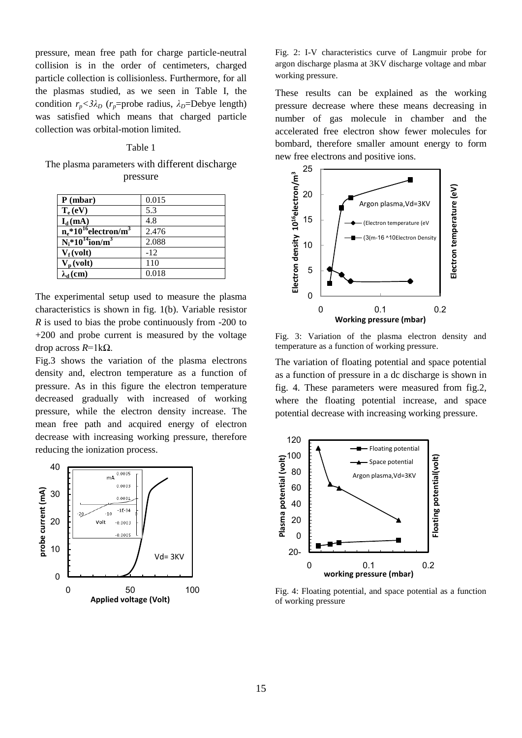pressure, mean free path for charge particle-neutral collision is in the order of centimeters, charged particle collection is collisionless. Furthermore, for all the plasmas studied, as we seen in Table I, the condition  $r_p < 3\lambda_D$  ( $r_p$ =probe radius,  $\lambda_D$ =Debye length) was satisfied which means that charged particle collection was orbital-motion limited.

#### Table 1

The plasma parameters with different discharge pressure

| P(mbar)                                         | 0.015 |
|-------------------------------------------------|-------|
| $T_e$ (eV)                                      | 5.3   |
| $I_d$ (mA)                                      | 4.8   |
| $n_e$ *10 <sup>16</sup> electron/m <sup>3</sup> | 2.476 |
| $N_i$ *10 <sup>14</sup> ion/m <sup>3</sup>      | 2.088 |
| $V_f (volt)$                                    | $-12$ |
| $V_p$ (volt)                                    | 110   |
| $\lambda_d$ (cm)                                | 0.018 |

The experimental setup used to measure the plasma characteristics is shown in fig. 1(b). Variable resistor *R* is used to bias the probe continuously from -200 to +200 and probe current is measured by the voltage drop across *R*=1kΩ.

Fig.3 shows the variation of the plasma electrons density and, electron temperature as a function of pressure. As in this figure the electron temperature decreased gradually with increased of working pressure, while the electron density increase. The mean free path and acquired energy of electron decrease with increasing working pressure, therefore reducing the ionization process.



Fig. 2: I-V characteristics curve of Langmuir probe for argon discharge plasma at 3KV discharge voltage and mbar working pressure.

These results can be explained as the working pressure decrease where these means decreasing in number of gas molecule in chamber and the accelerated free electron show fewer molecules for bombard, therefore smaller amount energy to form new free electrons and positive ions.



Fig. 3: Variation of the plasma electron density and temperature as a function of working pressure.

The variation of floating potential and space potential as a function of pressure in a dc discharge is shown in fig. 4. These parameters were measured from fig.2, where the floating potential increase, and space potential decrease with increasing working pressure.



Fig. 4: Floating potential, and space potential as a function of working pressure